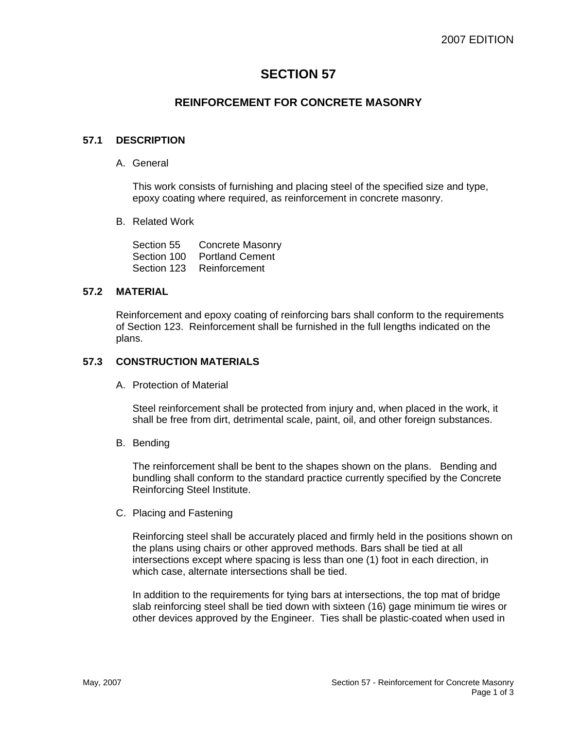# **SECTION 57**

# **REINFORCEMENT FOR CONCRETE MASONRY**

#### **57.1 DESCRIPTION**

A. General

This work consists of furnishing and placing steel of the specified size and type, epoxy coating where required, as reinforcement in concrete masonry.

B. Related Work

Section 55 Concrete Masonry Section 100 Portland Cement Section 123 Reinforcement

#### **57.2 MATERIAL**

Reinforcement and epoxy coating of reinforcing bars shall conform to the requirements of Section 123. Reinforcement shall be furnished in the full lengths indicated on the plans.

#### **57.3 CONSTRUCTION MATERIALS**

A. Protection of Material

Steel reinforcement shall be protected from injury and, when placed in the work, it shall be free from dirt, detrimental scale, paint, oil, and other foreign substances.

B. Bending

The reinforcement shall be bent to the shapes shown on the plans. Bending and bundling shall conform to the standard practice currently specified by the Concrete Reinforcing Steel Institute.

C. Placing and Fastening

Reinforcing steel shall be accurately placed and firmly held in the positions shown on the plans using chairs or other approved methods. Bars shall be tied at all intersections except where spacing is less than one (1) foot in each direction, in which case, alternate intersections shall be tied.

In addition to the requirements for tying bars at intersections, the top mat of bridge slab reinforcing steel shall be tied down with sixteen (16) gage minimum tie wires or other devices approved by the Engineer. Ties shall be plastic-coated when used in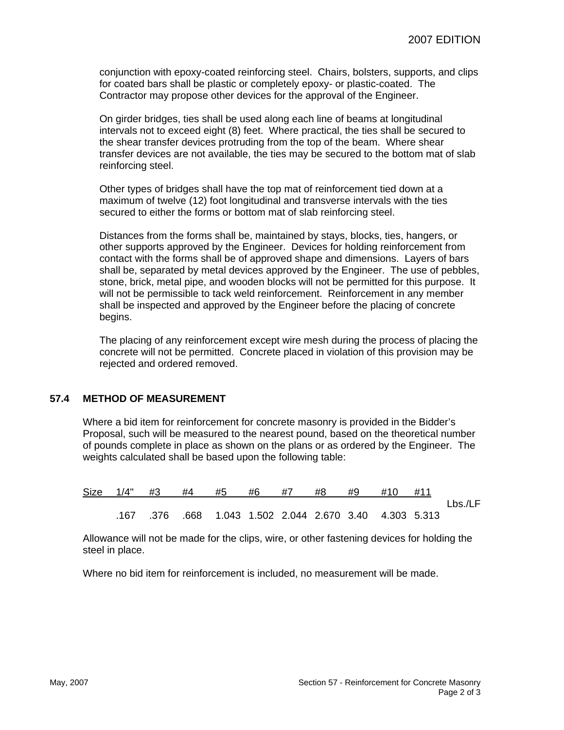conjunction with epoxy-coated reinforcing steel. Chairs, bolsters, supports, and clips for coated bars shall be plastic or completely epoxy- or plastic-coated. The Contractor may propose other devices for the approval of the Engineer.

On girder bridges, ties shall be used along each line of beams at longitudinal intervals not to exceed eight (8) feet. Where practical, the ties shall be secured to the shear transfer devices protruding from the top of the beam. Where shear transfer devices are not available, the ties may be secured to the bottom mat of slab reinforcing steel.

Other types of bridges shall have the top mat of reinforcement tied down at a maximum of twelve (12) foot longitudinal and transverse intervals with the ties secured to either the forms or bottom mat of slab reinforcing steel.

Distances from the forms shall be, maintained by stays, blocks, ties, hangers, or other supports approved by the Engineer. Devices for holding reinforcement from contact with the forms shall be of approved shape and dimensions. Layers of bars shall be, separated by metal devices approved by the Engineer. The use of pebbles, stone, brick, metal pipe, and wooden blocks will not be permitted for this purpose. It will not be permissible to tack weld reinforcement. Reinforcement in any member shall be inspected and approved by the Engineer before the placing of concrete begins.

The placing of any reinforcement except wire mesh during the process of placing the concrete will not be permitted. Concrete placed in violation of this provision may be rejected and ordered removed.

#### **57.4 METHOD OF MEASUREMENT**

Where a bid item for reinforcement for concrete masonry is provided in the Bidder's Proposal, such will be measured to the nearest pound, based on the theoretical number of pounds complete in place as shown on the plans or as ordered by the Engineer. The weights calculated shall be based upon the following table:

|  | Size 1/4" #3 #4 | #5 | #6 | #7 | #8 | #9 | #10                                                            | #11 |         |
|--|-----------------|----|----|----|----|----|----------------------------------------------------------------|-----|---------|
|  |                 |    |    |    |    |    |                                                                |     | Lbs./LF |
|  |                 |    |    |    |    |    | .167 .376 .668  1.043  1.502  2.044  2.670  3.40  4.303  5.313 |     |         |

Allowance will not be made for the clips, wire, or other fastening devices for holding the steel in place.

Where no bid item for reinforcement is included, no measurement will be made.